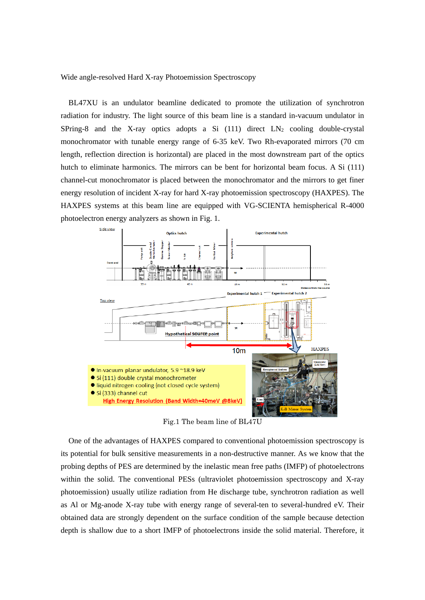Wide angle-resolved Hard X-ray Photoemission Spectroscopy

 BL47XU is an undulator beamline dedicated to promote the utilization of synchrotron radiation for industry. The light source of this beam line is a standard in-vacuum undulator in SPring-8 and the X-ray optics adopts a Si  $(111)$  direct  $LN_2$  cooling double-crystal monochromator with tunable energy range of 6-35 keV. Two Rh-evaporated mirrors (70 cm length, reflection direction is horizontal) are placed in the most downstream part of the optics hutch to eliminate harmonics. The mirrors can be bent for horizontal beam focus. A Si (111) channel-cut monochromator is placed between the monochromator and the mirrors to get finer energy resolution of incident X-ray for hard X-ray photoemission spectroscopy (HAXPES). The HAXPES systems at this beam line are equipped with VG-SCIENTA hemispherical R-4000 photoelectron energy analyzers as shown in Fig. 1.



Fig.1 The beam line of BL47U

One of the advantages of HAXPES compared to conventional photoemission spectroscopy is its potential for bulk sensitive measurements in a non-destructive manner. As we know that the probing depths of PES are determined by the inelastic mean free paths (IMFP) of photoelectrons within the solid. The conventional PESs (ultraviolet photoemission spectroscopy and X-ray photoemission) usually utilize radiation from He discharge tube, synchrotron radiation as well as Al or Mg-anode X-ray tube with energy range of several-ten to several-hundred eV. Their obtained data are strongly dependent on the surface condition of the sample because detection depth is shallow due to a short IMFP of photoelectrons inside the solid material. Therefore, it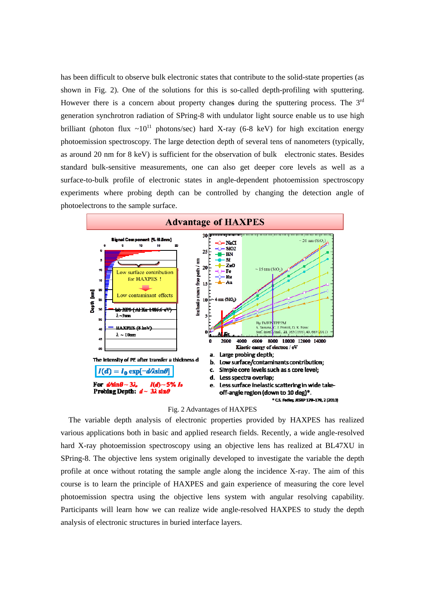has been difficult to observe bulk electronic states that contribute to the solid-state properties (as shown in Fig. 2). One of the solutions for this is so-called depth-profiling with sputtering. However there is a concern about property changes during the sputtering process. The 3<sup>rd</sup> generation synchrotron radiation of SPring-8 with undulator light source enable us to use high brilliant (photon flux  $\sim 10^{11}$  photons/sec) hard X-ray (6-8 keV) for high excitation energy photoemission spectroscopy. The large detection depth of several tens of nanometers (typically, as around 20 nm for 8 keV) is sufficient for the observation of bulk electronic states. Besides standard bulk-sensitive measurements, one can also get deeper core levels as well as a surface-to-bulk profile of electronic states in angle-dependent photoemission spectroscopy experiments where probing depth can be controlled by changing the detection angle of photoelectrons to the sample surface.



Fig. 2 Advantages of HAXPES

 The variable depth analysis of electronic properties provided by HAXPES has realized various applications both in basic and applied research fields. Recently, a wide angle-resolved hard X-ray photoemission spectroscopy using an objective lens has realized at BL47XU in SPring-8. The objective lens system originally developed to investigate the variable the depth profile at once without rotating the sample angle along the incidence X-ray. The aim of this course is to learn the principle of HAXPES and gain experience of measuring the core level photoemission spectra using the objective lens system with angular resolving capability. Participants will learn how we can realize wide angle-resolved HAXPES to study the depth analysis of electronic structures in buried interface layers.